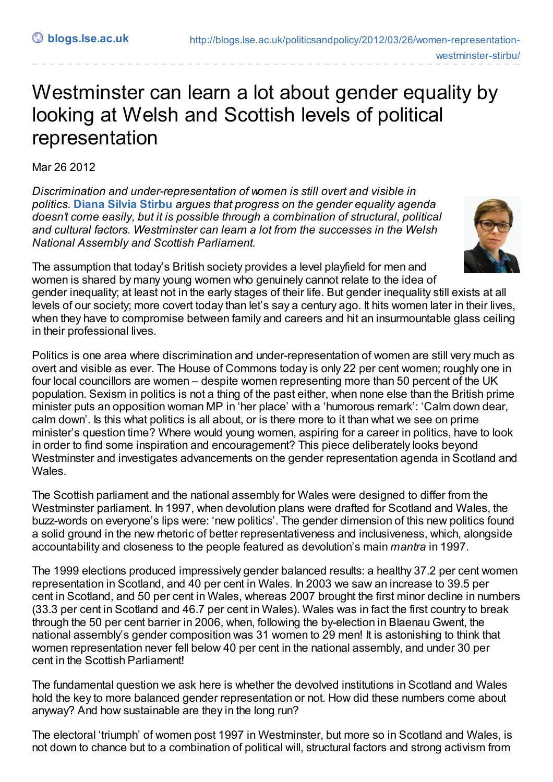## Westminster can learn a lot about gender equality by looking at Welsh and Scottish levels of political representation

Mar 26 2012

*Discrimination and under-representation of women is still overt and visible in politics.* **Diana Silvia [Stirbu](http://blogs.lse.ac.uk/politicsandpolicy/?p=21870#author)** *argues that progress on the gender equality agenda doesn't come easily, but it is possible through a combination of structural, political and cultural factors. Westminster can learn a lot from the successes in the Welsh National Assembly and Scottish Parliament.*



The assumption that today's British society provides a level playfield for men and women is shared by many young women who genuinely cannot relate to the idea of gender inequality; at least not in the early stages of their life. But gender inequality still exists at all levels of our society; more covert today than let's say a century ago. It hits women later in their lives, when they have to compromise between family and careers and hit an insurmountable glass ceiling in their professional lives.

Politics is one area where discrimination and under-representation of women are still very much as overt and visible as ever. The House of Commons today is only 22 per cent women; roughly one in four local councillors are women – despite women representing more than 50 percent of the UK population. Sexism in politics is not a thing of the past either, when none else than the British prime minister puts an opposition woman MP in 'her place' with a 'humorous remark': 'Calm down dear, calm down'. Is this what politics is all about, or is there more to it than what we see on prime minister's question time? Where would young women, aspiring for a career in politics, have to look in order to find some inspiration and encouragement? This piece deliberately looks beyond Westminster and investigates advancements on the gender representation agenda in Scotland and Wales.

The Scottish parliament and the national assembly for Wales were designed to differ from the Westminster parliament. In 1997, when devolution plans were drafted for Scotland and Wales, the buzz-words on everyone's lips were: 'new politics'. The gender dimension of this new politics found a solid ground in the new rhetoric of better representativeness and inclusiveness, which, alongside accountability and closeness to the people featured as devolution's main *mantra* in 1997.

The 1999 elections produced impressively gender balanced results: a healthy 37.2 per cent women representation in Scotland, and 40 per cent in Wales. In 2003 we saw an increase to 39.5 per cent in Scotland, and 50 per cent in Wales, whereas 2007 brought the first minor decline in numbers (33.3 per cent in Scotland and 46.7 per cent in Wales). Wales was in fact the first country to break through the 50 per cent barrier in 2006, when, following the by-election in Blaenau Gwent, the national assembly's gender composition was 31 women to 29 men! It is astonishing to think that women representation never fell below 40 per cent in the national assembly, and under 30 per cent in the Scottish Parliament!

The fundamental question we ask here is whether the devolved institutions in Scotland and Wales hold the key to more balanced gender representation or not. How did these numbers come about anyway? And how sustainable are they in the long run?

The electoral 'triumph' of women post 1997 in Westminster, but more so in Scotland and Wales, is not down to chance but to a combination of political will, structural factors and strong activism from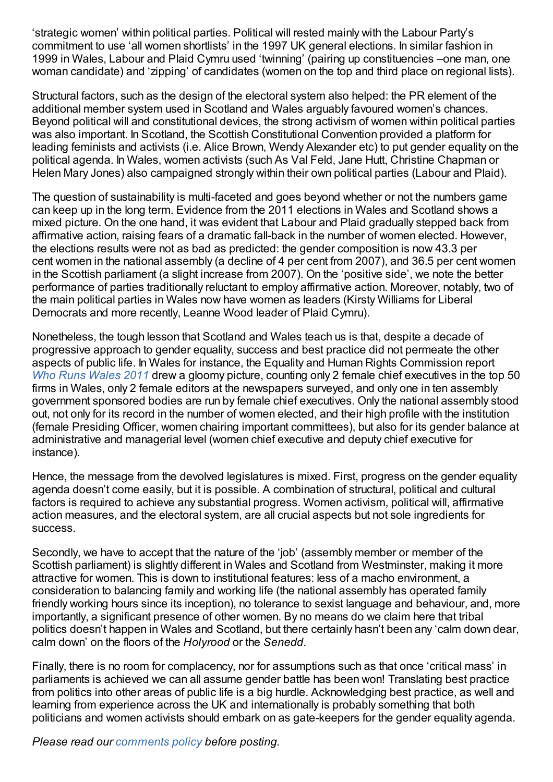'strategic women' within political parties. Political will rested mainly with the Labour Party's commitment to use 'all women shortlists' in the 1997 UK general elections. In similar fashion in 1999 in Wales, Labour and Plaid Cymru used 'twinning' (pairing up constituencies –one man, one woman candidate) and 'zipping' of candidates (women on the top and third place on regional lists).

Structural factors, such as the design of the electoral system also helped: the PR element of the additional member system used in Scotland and Wales arguably favoured women's chances. Beyond political will and constitutional devices, the strong activism of women within political parties was also important. In Scotland, the Scottish Constitutional Convention provided a platform for leading feminists and activists (i.e. Alice Brown, Wendy Alexander etc) to put gender equality on the political agenda. In Wales, women activists (such As Val Feld, Jane Hutt, Christine Chapman or Helen Mary Jones) also campaigned strongly within their own political parties (Labour and Plaid).

The question of sustainability is multi-faceted and goes beyond whether or not the numbers game can keep up in the long term. Evidence from the 2011 elections in Wales and Scotland shows a mixed picture. On the one hand, it was evident that Labour and Plaid gradually stepped back from affirmative action, raising fears of a dramatic fall-back in the number of women elected. However, the elections results were not as bad as predicted: the gender composition is now 43.3 per cent women in the national assembly (a decline of 4 per cent from 2007), and 36.5 per cent women in the Scottish parliament (a slight increase from 2007). On the 'positive side', we note the better performance of parties traditionally reluctant to employ affirmative action. Moreover, notably, two of the main political parties in Wales now have women as leaders (Kirsty Williams for Liberal Democrats and more recently, Leanne Wood leader of Plaid Cymru).

Nonetheless, the tough lesson that Scotland and Wales teach us is that, despite a decade of progressive approach to gender equality, success and best practice did not permeate the other aspects of public life. In Wales for instance, the Equality and Human Rights Commission report *Who Runs [Wales](http://www.equalityhumanrights.com/wales/publications/who-runs-wales-2011/) 2011* drew a gloomy picture, counting only 2 female chief executives in the top 50 firms in Wales, only 2 female editors at the newspapers surveyed, and only one in ten assembly government sponsored bodies are run by female chief executives. Only the national assembly stood out, not only for its record in the number of women elected, and their high profile with the institution (female Presiding Officer, women chairing important committees), but also for its gender balance at administrative and managerial level (women chief executive and deputy chief executive for instance).

Hence, the message from the devolved legislatures is mixed. First, progress on the gender equality agenda doesn't come easily, but it is possible. A combination of structural, political and cultural factors is required to achieve any substantial progress. Women activism, political will, affirmative action measures, and the electoral system, are all crucial aspects but not sole ingredients for success.

Secondly, we have to accept that the nature of the 'job' (assembly member or member of the Scottish parliament) is slightly different in Wales and Scotland from Westminster, making it more attractive for women. This is down to institutional features: less of a macho environment, a consideration to balancing family and working life (the national assembly has operated family friendly working hours since its inception), no tolerance to sexist language and behaviour, and, more importantly, a significant presence of other women. By no means do we claim here that tribal politics doesn't happen in Wales and Scotland, but there certainly hasn't been any 'calm down dear, calm down' on the floors of the *Holyrood* or the *Senedd*.

Finally, there is no room for complacency, nor for assumptions such as that once 'critical mass' in parliaments is achieved we can all assume gender battle has been won! Translating best practice from politics into other areas of public life is a big hurdle. Acknowledging best practice, as well and learning from experience across the UK and internationally is probably something that both politicians and women activists should embark on as gate-keepers for the gender equality agenda.

*Please read our [comments](http://blogs.lse.ac.uk/politicsandpolicy/about/#Comments_Policy) policy before posting.*